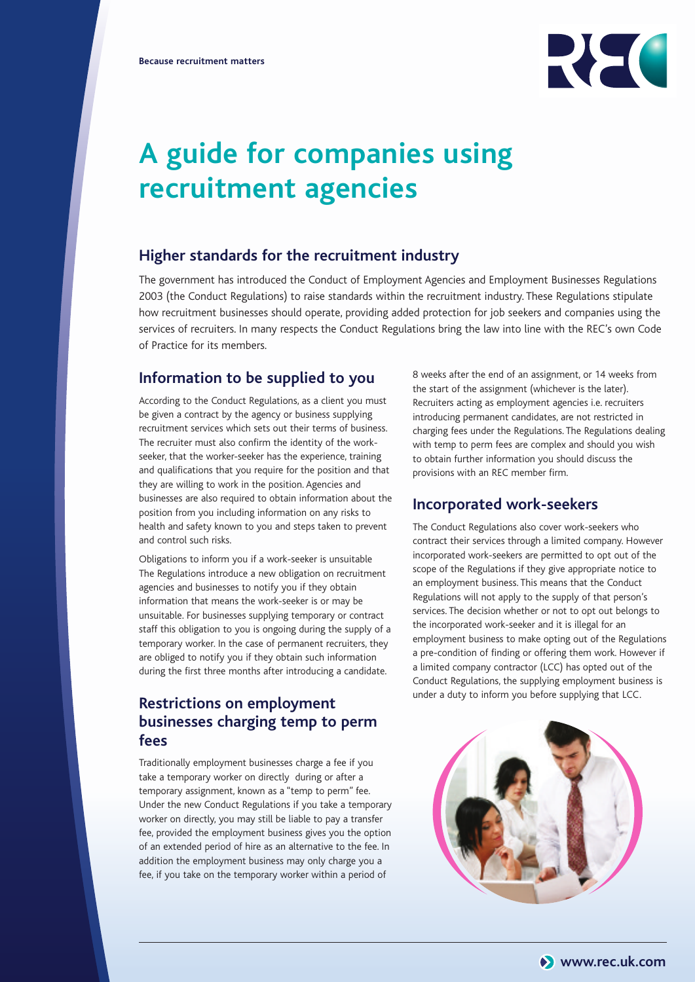

# **A guide for companies using recruitment agencies**

### **Higher standards for the recruitment industry**

The government has introduced the Conduct of Employment Agencies and Employment Businesses Regulations 2003 (the Conduct Regulations) to raise standards within the recruitment industry. These Regulations stipulate how recruitment businesses should operate, providing added protection for job seekers and companies using the services of recruiters. In many respects the Conduct Regulations bring the law into line with the REC's own Code of Practice for its members.

#### **Information to be supplied to you**

According to the Conduct Regulations, as a client you must be given a contract by the agency or business supplying recruitment services which sets out their terms of business. The recruiter must also confirm the identity of the workseeker, that the worker-seeker has the experience, training and qualifications that you require for the position and that they are willing to work in the position. Agencies and businesses are also required to obtain information about the position from you including information on any risks to health and safety known to you and steps taken to prevent and control such risks.

Obligations to inform you if a work-seeker is unsuitable The Regulations introduce a new obligation on recruitment agencies and businesses to notify you if they obtain information that means the work-seeker is or may be unsuitable. For businesses supplying temporary or contract staff this obligation to you is ongoing during the supply of a temporary worker. In the case of permanent recruiters, they are obliged to notify you if they obtain such information during the first three months after introducing a candidate.

# **Restrictions on employment businesses charging temp to perm fees**

Traditionally employment businesses charge a fee if you take a temporary worker on directly during or after a temporary assignment, known as a "temp to perm" fee. Under the new Conduct Regulations if you take a temporary worker on directly, you may still be liable to pay a transfer fee, provided the employment business gives you the option of an extended period of hire as an alternative to the fee. In addition the employment business may only charge you a fee, if you take on the temporary worker within a period of

8 weeks after the end of an assignment, or 14 weeks from the start of the assignment (whichever is the later). Recruiters acting as employment agencies i.e. recruiters introducing permanent candidates, are not restricted in charging fees under the Regulations. The Regulations dealing with temp to perm fees are complex and should you wish to obtain further information you should discuss the provisions with an REC member firm.

#### **Incorporated work-seekers**

The Conduct Regulations also cover work-seekers who contract their services through a limited company. However incorporated work-seekers are permitted to opt out of the scope of the Regulations if they give appropriate notice to an employment business. This means that the Conduct Regulations will not apply to the supply of that person's services. The decision whether or not to opt out belongs to the incorporated work-seeker and it is illegal for an employment business to make opting out of the Regulations a pre-condition of finding or offering them work. However if a limited company contractor (LCC) has opted out of the Conduct Regulations, the supplying employment business is under a duty to inform you before supplying that LCC.